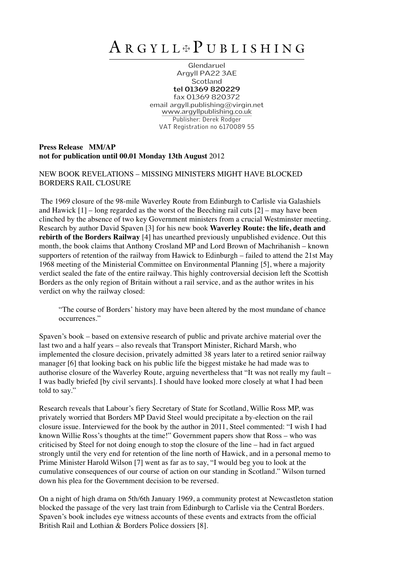## A R <sup>G</sup> <sup>Y</sup> <sup>L</sup> <sup>L</sup> ✠ P U <sup>B</sup> <sup>L</sup> <sup>I</sup> <sup>S</sup> <sup>H</sup> <sup>I</sup> <sup>N</sup> <sup>G</sup>

Glendaruel Argyll PA22 3AE **Scotland tel 01369 820229** fax 01369 820372 email argyll.publishing@virgin.net www.argyllpublishing.co.uk Publisher: Derek Rodger VAT Registration no 6170089 55

## **Press Release MM/AP not for publication until 00.01 Monday 13th August** 2012

NEW BOOK REVELATIONS – MISSING MINISTERS MIGHT HAVE BLOCKED BORDERS RAIL CLOSURE

The 1969 closure of the 98-mile Waverley Route from Edinburgh to Carlisle via Galashiels and Hawick  $[1]$  – long regarded as the worst of the Beeching rail cuts  $[2]$  – may have been clinched by the absence of two key Government ministers from a crucial Westminster meeting. Research by author David Spaven [3] for his new book **Waverley Route: the life, death and rebirth of the Borders Railway** [4] has unearthed previously unpublished evidence. Out this month, the book claims that Anthony Crosland MP and Lord Brown of Machrihanish – known supporters of retention of the railway from Hawick to Edinburgh – failed to attend the 21st May 1968 meeting of the Ministerial Committee on Environmental Planning [5], where a majority verdict sealed the fate of the entire railway. This highly controversial decision left the Scottish Borders as the only region of Britain without a rail service, and as the author writes in his verdict on why the railway closed:

"The course of Borders' history may have been altered by the most mundane of chance occurrences."

Spaven's book – based on extensive research of public and private archive material over the last two and a half years – also reveals that Transport Minister, Richard Marsh, who implemented the closure decision, privately admitted 38 years later to a retired senior railway manager [6] that looking back on his public life the biggest mistake he had made was to authorise closure of the Waverley Route, arguing nevertheless that "It was not really my fault – I was badly briefed [by civil servants]. I should have looked more closely at what I had been told to say."

Research reveals that Labour's fiery Secretary of State for Scotland, Willie Ross MP, was privately worried that Borders MP David Steel would precipitate a by-election on the rail closure issue. Interviewed for the book by the author in 2011, Steel commented: "I wish I had known Willie Ross's thoughts at the time!" Government papers show that Ross – who was criticised by Steel for not doing enough to stop the closure of the line – had in fact argued strongly until the very end for retention of the line north of Hawick, and in a personal memo to Prime Minister Harold Wilson [7] went as far as to say, "I would beg you to look at the cumulative consequences of our course of action on our standing in Scotland." Wilson turned down his plea for the Government decision to be reversed.

On a night of high drama on 5th/6th January 1969, a community protest at Newcastleton station blocked the passage of the very last train from Edinburgh to Carlisle via the Central Borders. Spaven's book includes eye witness accounts of these events and extracts from the official British Rail and Lothian & Borders Police dossiers [8].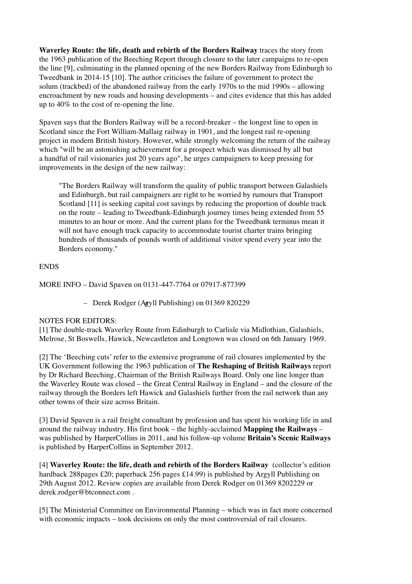**Waverley Route: the life, death and rebirth of the Borders Railway** traces the story from the 1963 publication of the Beeching Report through closure to the later campaigns to re-open the line [9], culminating in the planned opening of the new Borders Railway from Edinburgh to Tweedbank in 2014-15 [10]. The author criticises the failure of government to protect the solum (trackbed) of the abandoned railway from the early 1970s to the mid 1990s – allowing encroachment by new roads and housing developments – and cites evidence that this has added up to 40% to the cost of re-opening the line.

Spaven says that the Borders Railway will be a record-breaker – the longest line to open in Scotland since the Fort William-Mallaig railway in 1901, and the longest rail re-opening project in modern British history. However, while strongly welcoming the return of the railway which "will be an astonishing achievement for a prospect which was dismissed by all but a handful of rail visionaries just 20 years ago", he urges campaigners to keep pressing for improvements in the design of the new railway:

"The Borders Railway will transform the quality of public transport between Galashiels and Edinburgh, but rail campaigners are right to be worried by rumours that Transport Scotland [11] is seeking capital cost savings by reducing the proportion of double track on the route – leading to Tweedbank-Edinburgh journey times being extended from 55 minutes to an hour or more. And the current plans for the Tweedbank terminus mean it will not have enough track capacity to accommodate tourist charter trains bringing hundreds of thousands of pounds worth of additional visitor spend every year into the Borders economy."

## ENDS

MORE INFO – David Spaven on 0131-447-7764 or 07917-877399

– Derek Rodger (Agyll Publishing) on 01369 820229

## NOTES FOR EDITORS:

[1] The double-track Waverley Route from Edinburgh to Carlisle via Midlothian, Galashiels, Melrose, St Boswells, Hawick, Newcastleton and Longtown was closed on 6th January 1969.

[2] The 'Beeching cuts' refer to the extensive programme of rail closures implemented by the UK Government following the 1963 publication of **The Reshaping of British Railways** report by Dr Richard Beeching, Chairman of the British Railways Board. Only one line longer than the Waverley Route was closed – the Great Central Railway in England – and the closure of the railway through the Borders left Hawick and Galashiels further from the rail network than any other towns of their size across Britain.

[3] David Spaven is a rail freight consultant by profession and has spent his working life in and around the railway industry. His first book – the highly-acclaimed **Mapping the Railways** – was published by HarperCollins in 2011, and his follow-up volume **Britain's Scenic Railways** is published by HarperCollins in September 2012.

[4] **Waverley Route: the life, death and rebirth of the Borders Railway** (collector's edition hardback 288pages £20; paperback 256 pages £14.99) is published by Argyll Publishing on 29th August 2012. Review copies are available from Derek Rodger on 01369 8202229 or derek.rodger@btconnect.com .

[5] The Ministerial Committee on Environmental Planning – which was in fact more concerned with economic impacts – took decisions on only the most controversial of rail closures.